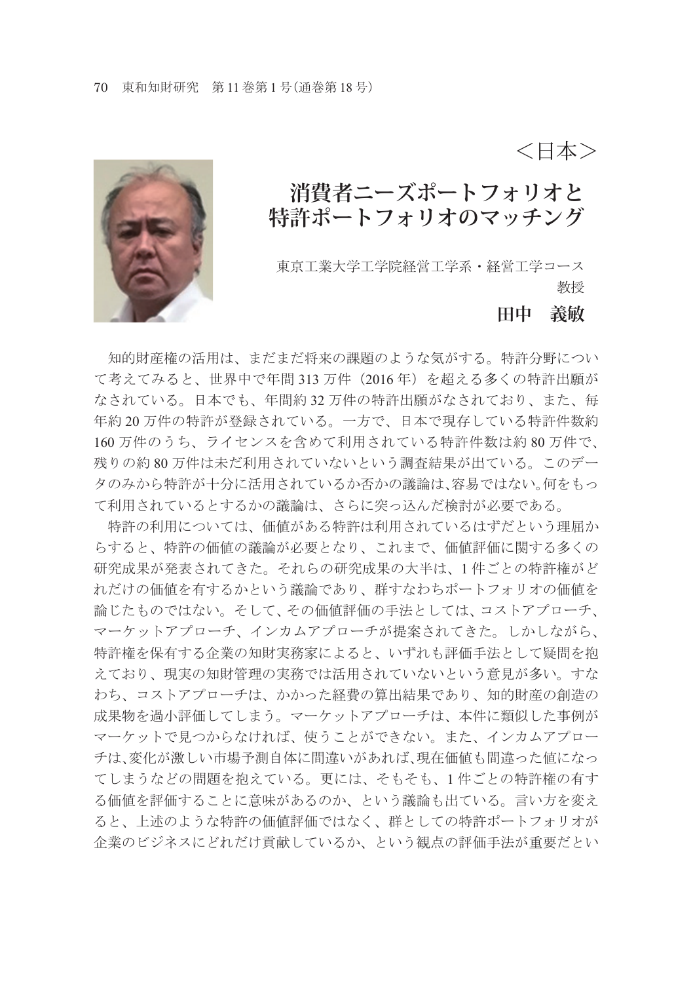<日本>

## **消費者ニーズポートフォリオと 特許ポートフォリオのマッチング**

東京工業大学工学院経営工学系・経営工学コース 教授

#### **田中 義敏**

 知的財産権の活用は、まだまだ将来の課題のような気がする。特許分野につい て考えてみると、世界中で年間 313 万件 (2016年) を超える多くの特許出願が なされている。日本でも、年間約 32 万件の特許出願がなされており、また、毎 年約 20 万件の特許が登録されている。一方で、日本で現存している特許件数約 160 万件のうち、ライセンスを含めて利用されている特許件数は約 80 万件で、 残りの約 80 万件は未だ利用されていないという調査結果が出ている。このデー タのみから特許が十分に活用されているか否かの議論は、容易ではない。何をもっ て利用されているとするかの議論は、さらに突っ込んだ検討が必要である。

 特許の利用については、価値がある特許は利用されているはずだという理屈か らすると、特許の価値の議論が必要となり、これまで、価値評価に関する多くの 研究成果が発表されてきた。それらの研究成果の大半は、1 件ごとの特許権がど れだけの価値を有するかという議論であり、群すなわちポートフォリオの価値を 論じたものではない。そして、その価値評価の手法としては、コストアプローチ、 マーケットアプローチ、インカムアプローチが提案されてきた。しかしながら、 特許権を保有する企業の知財実務家によると、いずれも評価手法として疑問を抱 えており、現実の知財管理の実務では活用されていないという意見が多い。すな わち、コストアプローチは、かかった経費の算出結果であり、知的財産の創造の 成果物を過小評価してしまう。マーケットアプローチは、本件に類似した事例が マーケットで見つからなければ、使うことができない。また、インカムアプロー チは、変化が激しい市場予測自体に間違いがあれば、現在価値も間違った値になっ てしまうなどの問題を抱えている。更には、そもそも、1 件ごとの特許権の有す る価値を評価することに意味があるのか、という議論も出ている。言い方を変え ると、上述のような特許の価値評価ではなく、群としての特許ポートフォリオが 企業のビジネスにどれだけ貢献しているか、という観点の評価手法が重要だとい

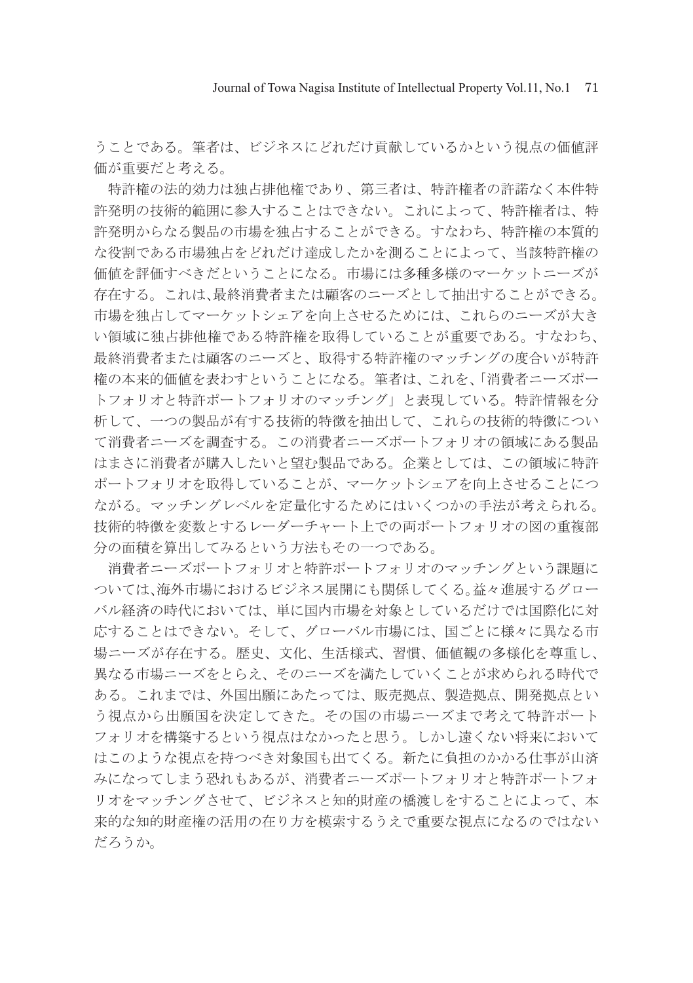うことである。筆者は、ビジネスにどれだけ貢献しているかという視点の価値評 価が重要だと考える。

 特許権の法的効力は独占排他権であり、第三者は、特許権者の許諾なく本件特 許発明の技術的範囲に参入することはできない。これによって、特許権者は、特 許発明からなる製品の市場を独占することができる。すなわち、特許権の本質的 な役割である市場独占をどれだけ達成したかを測ることによって、当該特許権の 価値を評価すべきだということになる。市場には多種多様のマーケットニーズが 存在する。これは、最終消費者または顧客のニーズとして抽出することができる。 市場を独占してマーケットシェアを向上させるためには、これらのニーズが大き い領域に独占排他権である特許権を取得していることが重要である。すなわち、 最終消費者または顧客のニーズと、取得する特許権のマッチングの度合いが特許 権の本来的価値を表わすということになる。筆者は、これを、「消費者ニーズポー トフォリオと特許ポートフォリオのマッチング」と表現している。特許情報を分 析して、一つの製品が有する技術的特徴を抽出して、これらの技術的特徴につい て消費者ニーズを調査する。この消費者ニーズポートフォリオの領域にある製品 はまさに消費者が購入したいと望む製品である。企業としては、この領域に特許 ポートフォリオを取得していることが、マーケットシェアを向上させることにつ ながる。マッチングレベルを定量化するためにはいくつかの手法が考えられる。 技術的特徴を変数とするレーダーチャート上での両ポートフォリオの図の重複部 分の面積を算出してみるという方法もその一つである。

 消費者ニーズポートフォリオと特許ポートフォリオのマッチングという課題に ついては、海外市場におけるビジネス展開にも関係してくる。益々進展するグロー バル経済の時代においては、単に国内市場を対象としているだけでは国際化に対 応することはできない。そして、グローバル市場には、国ごとに様々に異なる市 場ニーズが存在する。歴史、文化、生活様式、習慣、価値観の多様化を尊重し、 異なる市場ニーズをとらえ、そのニーズを満たしていくことが求められる時代で ある。これまでは、外国出願にあたっては、販売拠点、製造拠点、開発拠点とい う視点から出願国を決定してきた。その国の市場ニーズまで考えて特許ポート フォリオを構築するという視点はなかったと思う。しかし遠くない将来において はこのような視点を持つべき対象国も出てくる。新たに負担のかかる仕事が山済 みになってしまう恐れもあるが、消費者ニーズポートフォリオと特許ポートフォ リオをマッチングさせて、ビジネスと知的財産の橋渡しをすることによって、本 来的な知的財産権の活用の在り方を模索するうえで重要な視点になるのではない だろうか。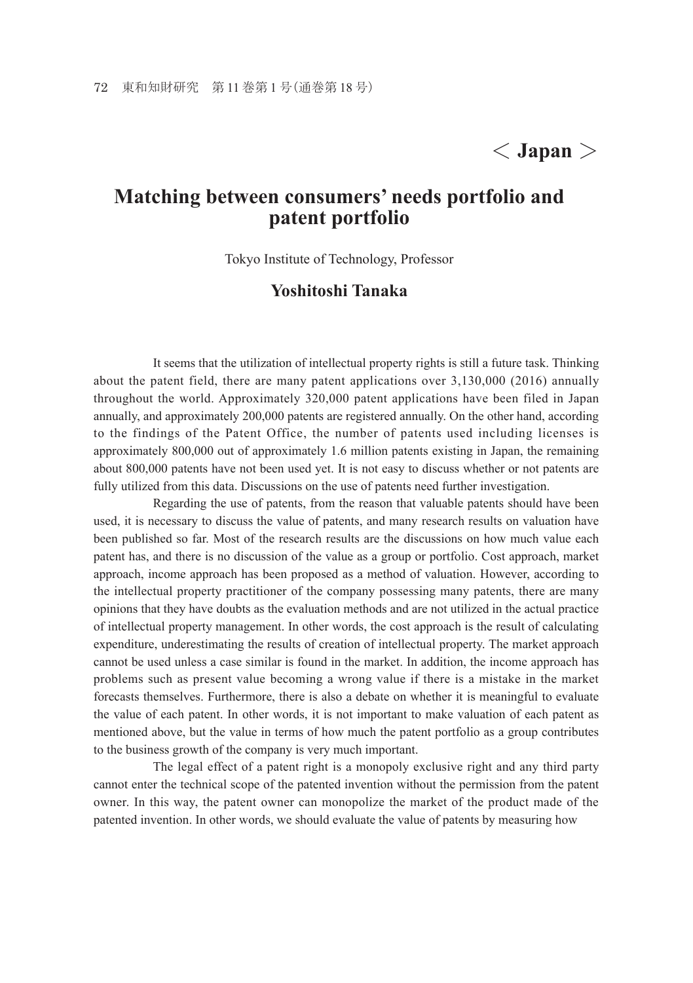# < **Japan** >

### **Matching between consumers' needs portfolio and patent portfolio**

Tokyo Institute of Technology, Professor

#### **Yoshitoshi Tanaka**

 It seems that the utilization of intellectual property rights is still a future task. Thinking about the patent field, there are many patent applications over 3,130,000 (2016) annually throughout the world. Approximately 320,000 patent applications have been filed in Japan annually, and approximately 200,000 patents are registered annually. On the other hand, according to the findings of the Patent Office, the number of patents used including licenses is approximately 800,000 out of approximately 1.6 million patents existing in Japan, the remaining about 800,000 patents have not been used yet. It is not easy to discuss whether or not patents are fully utilized from this data. Discussions on the use of patents need further investigation.

 Regarding the use of patents, from the reason that valuable patents should have been used, it is necessary to discuss the value of patents, and many research results on valuation have been published so far. Most of the research results are the discussions on how much value each patent has, and there is no discussion of the value as a group or portfolio. Cost approach, market approach, income approach has been proposed as a method of valuation. However, according to the intellectual property practitioner of the company possessing many patents, there are many opinions that they have doubts as the evaluation methods and are not utilized in the actual practice of intellectual property management. In other words, the cost approach is the result of calculating expenditure, underestimating the results of creation of intellectual property. The market approach cannot be used unless a case similar is found in the market. In addition, the income approach has problems such as present value becoming a wrong value if there is a mistake in the market forecasts themselves. Furthermore, there is also a debate on whether it is meaningful to evaluate the value of each patent. In other words, it is not important to make valuation of each patent as mentioned above, but the value in terms of how much the patent portfolio as a group contributes to the business growth of the company is very much important.

 The legal effect of a patent right is a monopoly exclusive right and any third party cannot enter the technical scope of the patented invention without the permission from the patent owner. In this way, the patent owner can monopolize the market of the product made of the patented invention. In other words, we should evaluate the value of patents by measuring how